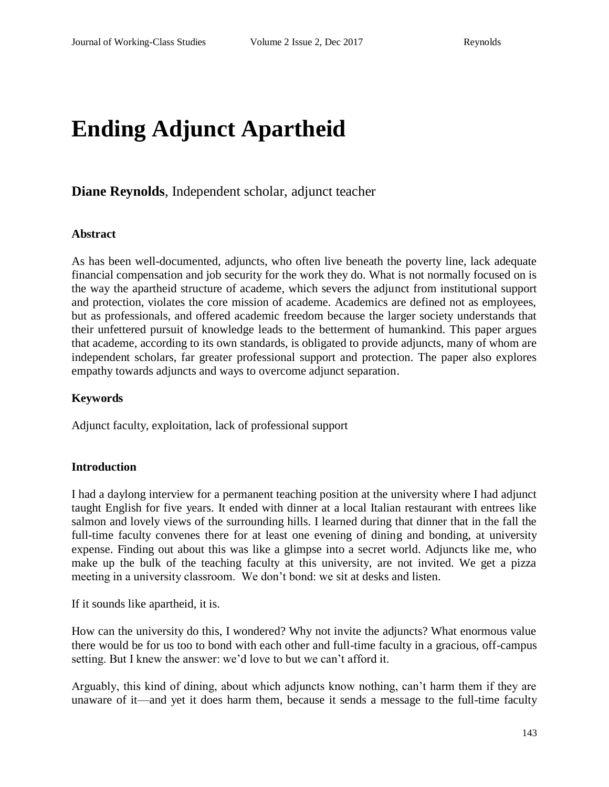# **Ending Adjunct Apartheid**

## **Diane Reynolds**, Independent scholar, adjunct teacher

#### **Abstract**

As has been well-documented, adjuncts, who often live beneath the poverty line, lack adequate financial compensation and job security for the work they do. What is not normally focused on is the way the apartheid structure of academe, which severs the adjunct from institutional support and protection, violates the core mission of academe. Academics are defined not as employees, but as professionals, and offered academic freedom because the larger society understands that their unfettered pursuit of knowledge leads to the betterment of humankind. This paper argues that academe, according to its own standards, is obligated to provide adjuncts, many of whom are independent scholars, far greater professional support and protection. The paper also explores empathy towards adjuncts and ways to overcome adjunct separation.

## **Keywords**

Adjunct faculty, exploitation, lack of professional support

## **Introduction**

I had a daylong interview for a permanent teaching position at the university where I had adjunct taught English for five years. It ended with dinner at a local Italian restaurant with entrees like salmon and lovely views of the surrounding hills. I learned during that dinner that in the fall the full-time faculty convenes there for at least one evening of dining and bonding, at university expense. Finding out about this was like a glimpse into a secret world. Adjuncts like me, who make up the bulk of the teaching faculty at this university, are not invited. We get a pizza meeting in a university classroom. We don't bond: we sit at desks and listen.

If it sounds like apartheid, it is.

How can the university do this, I wondered? Why not invite the adjuncts? What enormous value there would be for us too to bond with each other and full-time faculty in a gracious, off-campus setting. But I knew the answer: we'd love to but we can't afford it.

Arguably, this kind of dining, about which adjuncts know nothing, can't harm them if they are unaware of it—and yet it does harm them, because it sends a message to the full-time faculty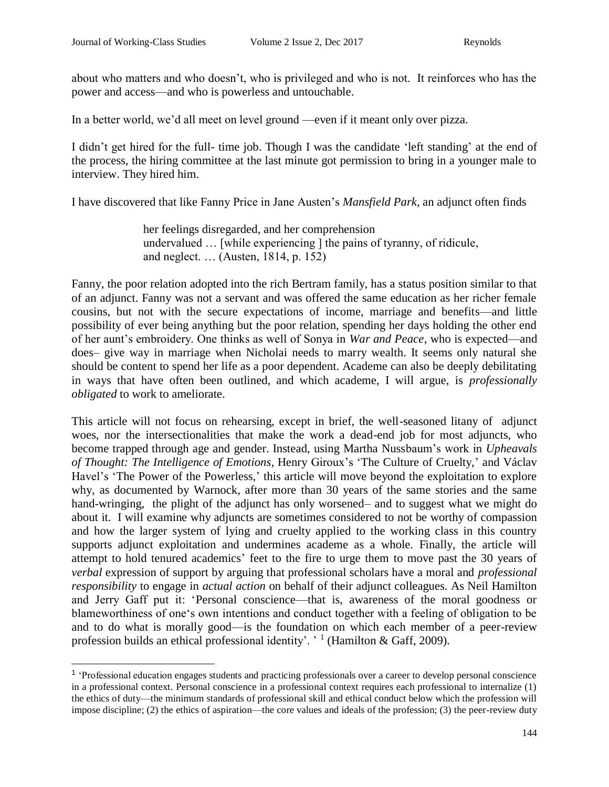about who matters and who doesn't, who is privileged and who is not. It reinforces who has the power and access—and who is powerless and untouchable.

In a better world, we'd all meet on level ground —even if it meant only over pizza.

I didn't get hired for the full- time job. Though I was the candidate 'left standing' at the end of the process, the hiring committee at the last minute got permission to bring in a younger male to interview. They hired him.

I have discovered that like Fanny Price in Jane Austen's *Mansfield Park*, an adjunct often finds

her feelings disregarded, and her comprehension undervalued … [while experiencing ] the pains of tyranny, of ridicule, and neglect. … (Austen, 1814, p. 152)

Fanny, the poor relation adopted into the rich Bertram family, has a status position similar to that of an adjunct. Fanny was not a servant and was offered the same education as her richer female cousins, but not with the secure expectations of income, marriage and benefits—and little possibility of ever being anything but the poor relation, spending her days holding the other end of her aunt's embroidery. One thinks as well of Sonya in *War and Peace*, who is expected—and does– give way in marriage when Nicholai needs to marry wealth. It seems only natural she should be content to spend her life as a poor dependent. Academe can also be deeply debilitating in ways that have often been outlined, and which academe, I will argue, is *professionally obligated* to work to ameliorate.

This article will not focus on rehearsing, except in brief, the well-seasoned litany of adjunct woes, nor the intersectionalities that make the work a dead-end job for most adjuncts, who become trapped through age and gender. Instead, using Martha Nussbaum's work in *Upheavals of Thought: The Intelligence of Emotions*, Henry Giroux's 'The Culture of Cruelty,' and Václav Havel's 'The Power of the Powerless,' this article will move beyond the exploitation to explore why, as documented by Warnock, after more than 30 years of the same stories and the same hand-wringing, the plight of the adjunct has only worsened– and to suggest what we might do about it. I will examine why adjuncts are sometimes considered to not be worthy of compassion and how the larger system of lying and cruelty applied to the working class in this country supports adjunct exploitation and undermines academe as a whole. Finally, the article will attempt to hold tenured academics' feet to the fire to urge them to move past the 30 years of *verbal* expression of support by arguing that professional scholars have a moral and *professional responsibility* to engage in *actual action* on behalf of their adjunct colleagues. As Neil Hamilton and Jerry Gaff put it: 'Personal conscience—that is, awareness of the moral goodness or blameworthiness of one's own intentions and conduct together with a feeling of obligation to be and to do what is morally good—is the foundation on which each member of a peer-review profession builds an ethical professional identity'. '<sup>1</sup> (Hamilton & Gaff, 2009).

<sup>&</sup>lt;sup>1</sup> 'Professional education engages students and practicing professionals over a career to develop personal conscience in a professional context. Personal conscience in a professional context requires each professional to internalize (1) the ethics of duty—the minimum standards of professional skill and ethical conduct below which the profession will impose discipline; (2) the ethics of aspiration—the core values and ideals of the profession; (3) the peer-review duty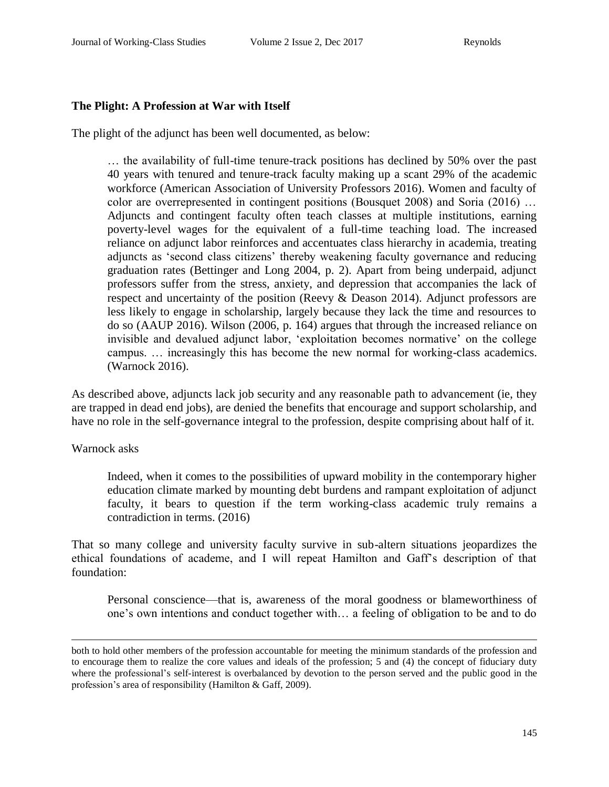## **The Plight: A Profession at War with Itself**

The plight of the adjunct has been well documented, as below:

… the availability of full-time tenure-track positions has declined by 50% over the past 40 years with tenured and tenure-track faculty making up a scant 29% of the academic workforce (American Association of University Professors 2016). Women and faculty of color are overrepresented in contingent positions (Bousquet 2008) and Soria (2016) … Adjuncts and contingent faculty often teach classes at multiple institutions, earning poverty-level wages for the equivalent of a full-time teaching load. The increased reliance on adjunct labor reinforces and accentuates class hierarchy in academia, treating adjuncts as 'second class citizens' thereby weakening faculty governance and reducing graduation rates (Bettinger and Long 2004, p. 2). Apart from being underpaid, adjunct professors suffer from the stress, anxiety, and depression that accompanies the lack of respect and uncertainty of the position (Reevy & Deason 2014). Adjunct professors are less likely to engage in scholarship, largely because they lack the time and resources to do so (AAUP 2016). Wilson (2006, p. 164) argues that through the increased reliance on invisible and devalued adjunct labor, 'exploitation becomes normative' on the college campus. … increasingly this has become the new normal for working-class academics. (Warnock 2016).

As described above, adjuncts lack job security and any reasonable path to advancement (ie, they are trapped in dead end jobs), are denied the benefits that encourage and support scholarship, and have no role in the self-governance integral to the profession, despite comprising about half of it.

Warnock asks

 $\overline{a}$ 

Indeed, when it comes to the possibilities of upward mobility in the contemporary higher education climate marked by mounting debt burdens and rampant exploitation of adjunct faculty, it bears to question if the term working-class academic truly remains a contradiction in terms. (2016)

That so many college and university faculty survive in sub-altern situations jeopardizes the ethical foundations of academe, and I will repeat Hamilton and Gaff's description of that foundation:

Personal conscience—that is, awareness of the moral goodness or blameworthiness of one's own intentions and conduct together with… a feeling of obligation to be and to do

both to hold other members of the profession accountable for meeting the minimum standards of the profession and to encourage them to realize the core values and ideals of the profession; 5 and (4) the concept of fiduciary duty where the professional's self-interest is overbalanced by devotion to the person served and the public good in the profession's area of responsibility (Hamilton & Gaff, 2009).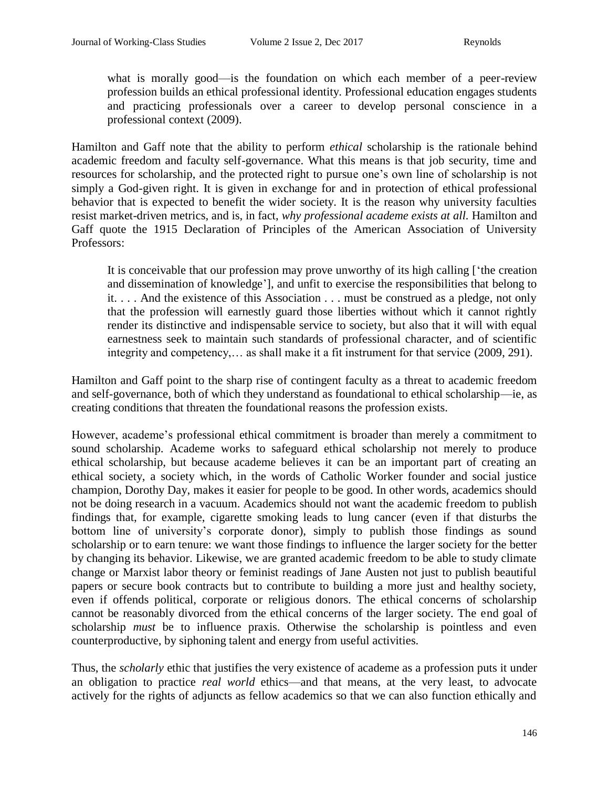what is morally good—is the foundation on which each member of a peer-review profession builds an ethical professional identity. Professional education engages students and practicing professionals over a career to develop personal conscience in a professional context (2009).

Hamilton and Gaff note that the ability to perform *ethical* scholarship is the rationale behind academic freedom and faculty self-governance. What this means is that job security, time and resources for scholarship, and the protected right to pursue one's own line of scholarship is not simply a God-given right. It is given in exchange for and in protection of ethical professional behavior that is expected to benefit the wider society. It is the reason why university faculties resist market-driven metrics, and is, in fact, *why professional academe exists at all.* Hamilton and Gaff quote the 1915 Declaration of Principles of the American Association of University Professors:

It is conceivable that our profession may prove unworthy of its high calling ['the creation and dissemination of knowledge'], and unfit to exercise the responsibilities that belong to it. . . . And the existence of this Association . . . must be construed as a pledge, not only that the profession will earnestly guard those liberties without which it cannot rightly render its distinctive and indispensable service to society, but also that it will with equal earnestness seek to maintain such standards of professional character, and of scientific integrity and competency,… as shall make it a fit instrument for that service (2009, 291).

Hamilton and Gaff point to the sharp rise of contingent faculty as a threat to academic freedom and self-governance, both of which they understand as foundational to ethical scholarship—ie, as creating conditions that threaten the foundational reasons the profession exists.

However, academe's professional ethical commitment is broader than merely a commitment to sound scholarship. Academe works to safeguard ethical scholarship not merely to produce ethical scholarship, but because academe believes it can be an important part of creating an ethical society, a society which, in the words of Catholic Worker founder and social justice champion, Dorothy Day, makes it easier for people to be good. In other words, academics should not be doing research in a vacuum. Academics should not want the academic freedom to publish findings that, for example, cigarette smoking leads to lung cancer (even if that disturbs the bottom line of university's corporate donor), simply to publish those findings as sound scholarship or to earn tenure: we want those findings to influence the larger society for the better by changing its behavior. Likewise, we are granted academic freedom to be able to study climate change or Marxist labor theory or feminist readings of Jane Austen not just to publish beautiful papers or secure book contracts but to contribute to building a more just and healthy society, even if offends political, corporate or religious donors. The ethical concerns of scholarship cannot be reasonably divorced from the ethical concerns of the larger society. The end goal of scholarship *must* be to influence praxis. Otherwise the scholarship is pointless and even counterproductive, by siphoning talent and energy from useful activities.

Thus, the *scholarly* ethic that justifies the very existence of academe as a profession puts it under an obligation to practice *real world* ethics—and that means, at the very least, to advocate actively for the rights of adjuncts as fellow academics so that we can also function ethically and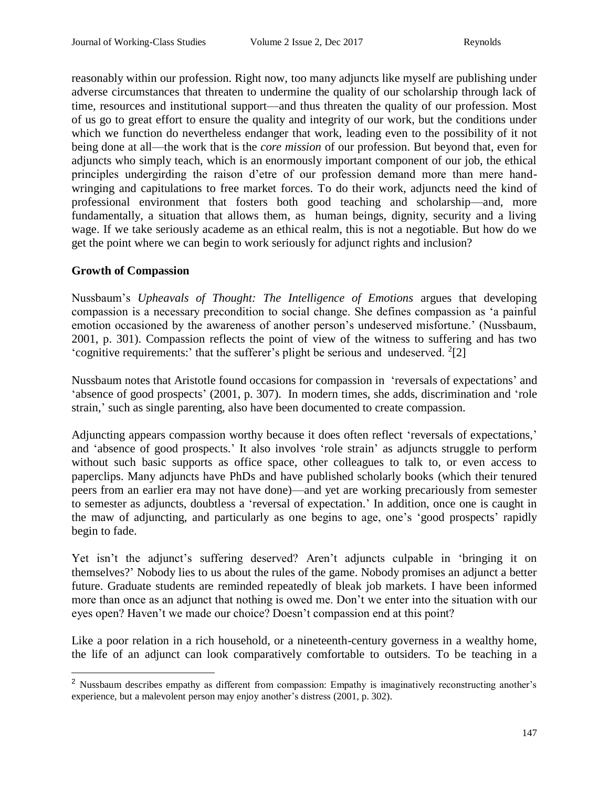reasonably within our profession. Right now, too many adjuncts like myself are publishing under adverse circumstances that threaten to undermine the quality of our scholarship through lack of time, resources and institutional support—and thus threaten the quality of our profession. Most of us go to great effort to ensure the quality and integrity of our work, but the conditions under which we function do nevertheless endanger that work, leading even to the possibility of it not being done at all—the work that is the *core mission* of our profession. But beyond that, even for adjuncts who simply teach, which is an enormously important component of our job, the ethical principles undergirding the raison d'etre of our profession demand more than mere handwringing and capitulations to free market forces. To do their work, adjuncts need the kind of professional environment that fosters both good teaching and scholarship—and, more fundamentally, a situation that allows them, as human beings, dignity, security and a living wage. If we take seriously academe as an ethical realm, this is not a negotiable. But how do we get the point where we can begin to work seriously for adjunct rights and inclusion?

## **Growth of Compassion**

 $\overline{a}$ 

Nussbaum's *Upheavals of Thought: The Intelligence of Emotions* argues that developing compassion is a necessary precondition to social change. She defines compassion as 'a painful emotion occasioned by the awareness of another person's undeserved misfortune.' (Nussbaum, 2001, p. 301). Compassion reflects the point of view of the witness to suffering and has two 'cognitive requirements:' that the sufferer's plight be serious and undeserved.  $2[2]$ 

Nussbaum notes that Aristotle found occasions for compassion in 'reversals of expectations' and 'absence of good prospects' (2001, p. 307). In modern times, she adds, discrimination and 'role strain,' such as single parenting, also have been documented to create compassion.

Adjuncting appears compassion worthy because it does often reflect 'reversals of expectations,' and 'absence of good prospects.' It also involves 'role strain' as adjuncts struggle to perform without such basic supports as office space, other colleagues to talk to, or even access to paperclips. Many adjuncts have PhDs and have published scholarly books (which their tenured peers from an earlier era may not have done)—and yet are working precariously from semester to semester as adjuncts, doubtless a 'reversal of expectation.' In addition, once one is caught in the maw of adjuncting, and particularly as one begins to age, one's 'good prospects' rapidly begin to fade.

Yet isn't the adjunct's suffering deserved? Aren't adjuncts culpable in 'bringing it on themselves?' Nobody lies to us about the rules of the game. Nobody promises an adjunct a better future. Graduate students are reminded repeatedly of bleak job markets. I have been informed more than once as an adjunct that nothing is owed me. Don't we enter into the situation with our eyes open? Haven't we made our choice? Doesn't compassion end at this point?

Like a poor relation in a rich household, or a nineteenth-century governess in a wealthy home, the life of an adjunct can look comparatively comfortable to outsiders. To be teaching in a

<sup>&</sup>lt;sup>2</sup> Nussbaum describes empathy as different from compassion: Empathy is imaginatively reconstructing another's experience, but a malevolent person may enjoy another's distress (2001, p. 302).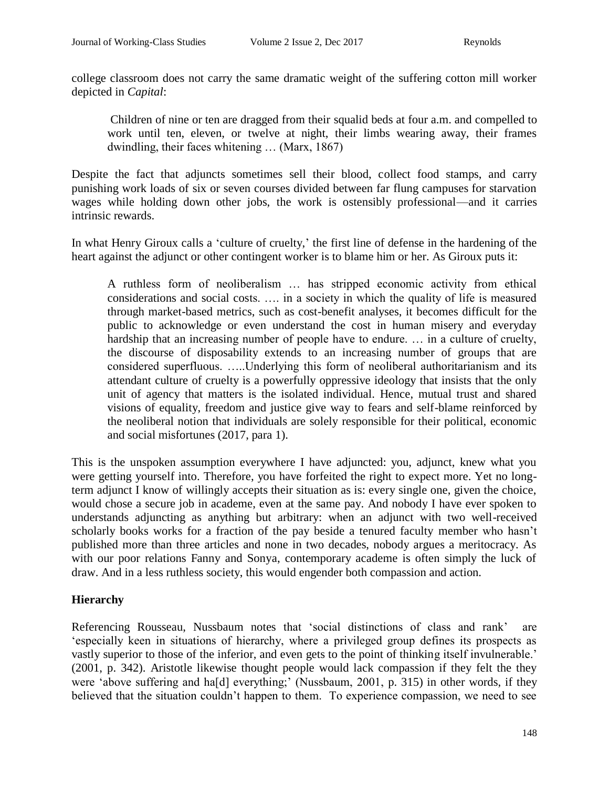college classroom does not carry the same dramatic weight of the suffering cotton mill worker depicted in *Capital*:

Children of nine or ten are dragged from their squalid beds at four a.m. and compelled to work until ten, eleven, or twelve at night, their limbs wearing away, their frames dwindling, their faces whitening … (Marx, 1867)

Despite the fact that adjuncts sometimes sell their blood, collect food stamps, and carry punishing work loads of six or seven courses divided between far flung campuses for starvation wages while holding down other jobs, the work is ostensibly professional—and it carries intrinsic rewards.

In what Henry Giroux calls a 'culture of cruelty,' the first line of defense in the hardening of the heart against the adjunct or other contingent worker is to blame him or her. As Giroux puts it:

A ruthless form of neoliberalism … has stripped economic activity from ethical considerations and social costs. …. in a society in which the quality of life is measured through market-based metrics, such as cost-benefit analyses, it becomes difficult for the public to acknowledge or even understand the cost in human misery and everyday hardship that an increasing number of people have to endure. ... in a culture of cruelty, the discourse of disposability extends to an increasing number of groups that are considered superfluous. …..Underlying this form of neoliberal authoritarianism and its attendant culture of cruelty is a powerfully oppressive ideology that insists that the only unit of agency that matters is the isolated individual. Hence, mutual trust and shared visions of equality, freedom and justice give way to fears and self-blame reinforced by the neoliberal notion that individuals are solely responsible for their political, economic and social misfortunes (2017, para 1).

This is the unspoken assumption everywhere I have adjuncted: you, adjunct, knew what you were getting yourself into. Therefore, you have forfeited the right to expect more. Yet no longterm adjunct I know of willingly accepts their situation as is: every single one, given the choice, would chose a secure job in academe, even at the same pay. And nobody I have ever spoken to understands adjuncting as anything but arbitrary: when an adjunct with two well-received scholarly books works for a fraction of the pay beside a tenured faculty member who hasn't published more than three articles and none in two decades, nobody argues a meritocracy. As with our poor relations Fanny and Sonya, contemporary academe is often simply the luck of draw. And in a less ruthless society, this would engender both compassion and action.

## **Hierarchy**

Referencing Rousseau, Nussbaum notes that 'social distinctions of class and rank' are 'especially keen in situations of hierarchy, where a privileged group defines its prospects as vastly superior to those of the inferior, and even gets to the point of thinking itself invulnerable.' (2001, p. 342). Aristotle likewise thought people would lack compassion if they felt the they were 'above suffering and ha[d] everything;' (Nussbaum, 2001, p. 315) in other words, if they believed that the situation couldn't happen to them. To experience compassion, we need to see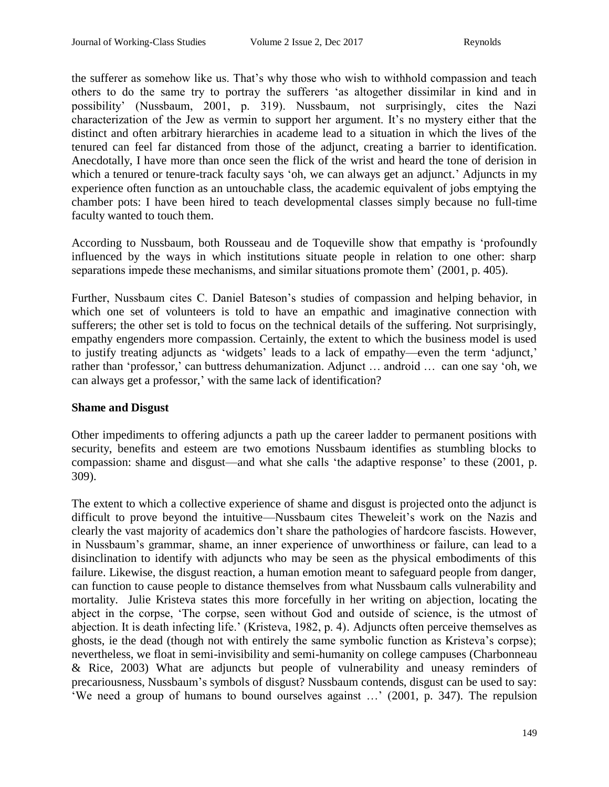the sufferer as somehow like us. That's why those who wish to withhold compassion and teach others to do the same try to portray the sufferers 'as altogether dissimilar in kind and in possibility' (Nussbaum, 2001, p. 319). Nussbaum, not surprisingly, cites the Nazi characterization of the Jew as vermin to support her argument. It's no mystery either that the distinct and often arbitrary hierarchies in academe lead to a situation in which the lives of the tenured can feel far distanced from those of the adjunct, creating a barrier to identification. Anecdotally, I have more than once seen the flick of the wrist and heard the tone of derision in which a tenured or tenure-track faculty says 'oh, we can always get an adjunct.' Adjuncts in my experience often function as an untouchable class, the academic equivalent of jobs emptying the chamber pots: I have been hired to teach developmental classes simply because no full-time faculty wanted to touch them.

According to Nussbaum, both Rousseau and de Toqueville show that empathy is 'profoundly influenced by the ways in which institutions situate people in relation to one other: sharp separations impede these mechanisms, and similar situations promote them' (2001, p. 405).

Further, Nussbaum cites C. Daniel Bateson's studies of compassion and helping behavior, in which one set of volunteers is told to have an empathic and imaginative connection with sufferers; the other set is told to focus on the technical details of the suffering. Not surprisingly, empathy engenders more compassion. Certainly, the extent to which the business model is used to justify treating adjuncts as 'widgets' leads to a lack of empathy—even the term 'adjunct,' rather than 'professor,' can buttress dehumanization. Adjunct … android … can one say 'oh, we can always get a professor,' with the same lack of identification?

## **Shame and Disgust**

Other impediments to offering adjuncts a path up the career ladder to permanent positions with security, benefits and esteem are two emotions Nussbaum identifies as stumbling blocks to compassion: shame and disgust—and what she calls 'the adaptive response' to these (2001, p. 309).

The extent to which a collective experience of shame and disgust is projected onto the adjunct is difficult to prove beyond the intuitive—Nussbaum cites Theweleit's work on the Nazis and clearly the vast majority of academics don't share the pathologies of hardcore fascists. However, in Nussbaum's grammar, shame, an inner experience of unworthiness or failure, can lead to a disinclination to identify with adjuncts who may be seen as the physical embodiments of this failure. Likewise, the disgust reaction, a human emotion meant to safeguard people from danger, can function to cause people to distance themselves from what Nussbaum calls vulnerability and mortality. Julie Kristeva states this more forcefully in her writing on abjection, locating the abject in the corpse, 'The corpse, seen without God and outside of science, is the utmost of abjection. It is death infecting life.' (Kristeva, 1982, p. 4). Adjuncts often perceive themselves as ghosts, ie the dead (though not with entirely the same symbolic function as Kristeva's corpse); nevertheless, we float in semi-invisibility and semi-humanity on college campuses (Charbonneau & Rice, 2003) What are adjuncts but people of vulnerability and uneasy reminders of precariousness, Nussbaum's symbols of disgust? Nussbaum contends, disgust can be used to say: 'We need a group of humans to bound ourselves against …' (2001, p. 347). The repulsion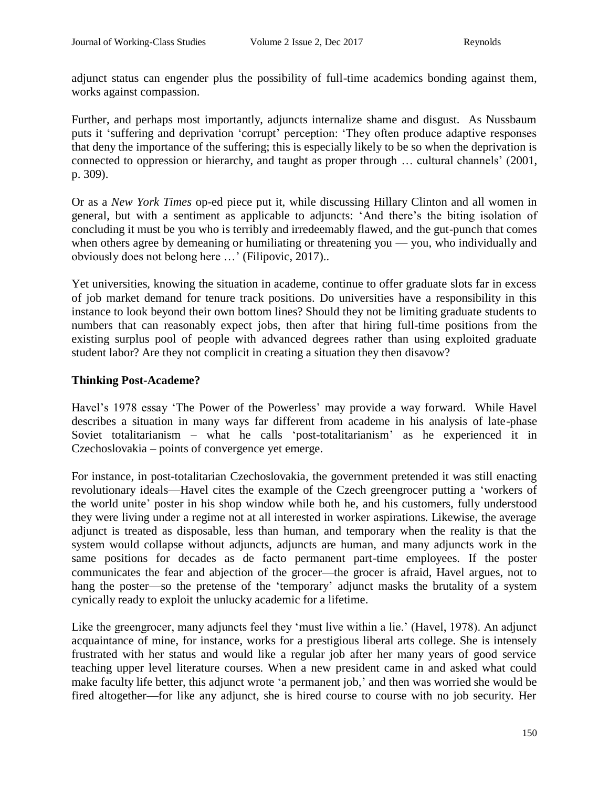adjunct status can engender plus the possibility of full-time academics bonding against them, works against compassion.

Further, and perhaps most importantly, adjuncts internalize shame and disgust. As Nussbaum puts it 'suffering and deprivation 'corrupt' perception: 'They often produce adaptive responses that deny the importance of the suffering; this is especially likely to be so when the deprivation is connected to oppression or hierarchy, and taught as proper through … cultural channels' (2001, p. 309).

Or as a *New York Times* op-ed piece put it, while discussing Hillary Clinton and all women in general, but with a sentiment as applicable to adjuncts: 'And there's the biting isolation of concluding it must be you who is terribly and irredeemably flawed, and the gut-punch that comes when others agree by demeaning or humiliating or threatening you — you, who individually and obviously does not belong here …' (Filipovic, 2017)..

Yet universities, knowing the situation in academe, continue to offer graduate slots far in excess of job market demand for tenure track positions. Do universities have a responsibility in this instance to look beyond their own bottom lines? Should they not be limiting graduate students to numbers that can reasonably expect jobs, then after that hiring full-time positions from the existing surplus pool of people with advanced degrees rather than using exploited graduate student labor? Are they not complicit in creating a situation they then disavow?

## **Thinking Post-Academe?**

Havel's 1978 essay 'The Power of the Powerless' may provide a way forward. While Havel describes a situation in many ways far different from academe in his analysis of late-phase Soviet totalitarianism – what he calls 'post-totalitarianism' as he experienced it in Czechoslovakia – points of convergence yet emerge.

For instance, in post-totalitarian Czechoslovakia, the government pretended it was still enacting revolutionary ideals—Havel cites the example of the Czech greengrocer putting a 'workers of the world unite' poster in his shop window while both he, and his customers, fully understood they were living under a regime not at all interested in worker aspirations. Likewise, the average adjunct is treated as disposable, less than human, and temporary when the reality is that the system would collapse without adjuncts, adjuncts are human, and many adjuncts work in the same positions for decades as de facto permanent part-time employees. If the poster communicates the fear and abjection of the grocer—the grocer is afraid, Havel argues, not to hang the poster—so the pretense of the 'temporary' adjunct masks the brutality of a system cynically ready to exploit the unlucky academic for a lifetime.

Like the greengrocer, many adjuncts feel they 'must live within a lie.' (Havel, 1978). An adjunct acquaintance of mine, for instance, works for a prestigious liberal arts college. She is intensely frustrated with her status and would like a regular job after her many years of good service teaching upper level literature courses. When a new president came in and asked what could make faculty life better, this adjunct wrote 'a permanent job,' and then was worried she would be fired altogether—for like any adjunct, she is hired course to course with no job security. Her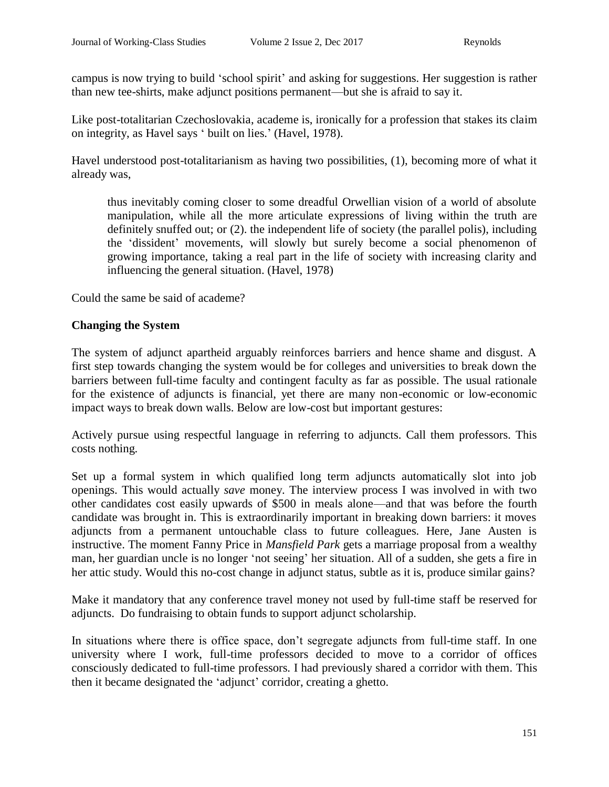campus is now trying to build 'school spirit' and asking for suggestions. Her suggestion is rather than new tee-shirts, make adjunct positions permanent—but she is afraid to say it.

Like post-totalitarian Czechoslovakia, academe is, ironically for a profession that stakes its claim on integrity, as Havel says ' built on lies.' (Havel, 1978).

Havel understood post-totalitarianism as having two possibilities, (1), becoming more of what it already was,

thus inevitably coming closer to some dreadful Orwellian vision of a world of absolute manipulation, while all the more articulate expressions of living within the truth are definitely snuffed out; or (2). the independent life of society (the parallel polis), including the 'dissident' movements, will slowly but surely become a social phenomenon of growing importance, taking a real part in the life of society with increasing clarity and influencing the general situation. (Havel, 1978)

Could the same be said of academe?

## **Changing the System**

The system of adjunct apartheid arguably reinforces barriers and hence shame and disgust. A first step towards changing the system would be for colleges and universities to break down the barriers between full-time faculty and contingent faculty as far as possible. The usual rationale for the existence of adjuncts is financial, yet there are many non-economic or low-economic impact ways to break down walls. Below are low-cost but important gestures:

Actively pursue using respectful language in referring to adjuncts. Call them professors. This costs nothing.

Set up a formal system in which qualified long term adjuncts automatically slot into job openings. This would actually *save* money. The interview process I was involved in with two other candidates cost easily upwards of \$500 in meals alone—and that was before the fourth candidate was brought in. This is extraordinarily important in breaking down barriers: it moves adjuncts from a permanent untouchable class to future colleagues. Here, Jane Austen is instructive. The moment Fanny Price in *Mansfield Park* gets a marriage proposal from a wealthy man, her guardian uncle is no longer 'not seeing' her situation. All of a sudden, she gets a fire in her attic study. Would this no-cost change in adjunct status, subtle as it is, produce similar gains?

Make it mandatory that any conference travel money not used by full-time staff be reserved for adjuncts. Do fundraising to obtain funds to support adjunct scholarship.

In situations where there is office space, don't segregate adjuncts from full-time staff. In one university where I work, full-time professors decided to move to a corridor of offices consciously dedicated to full-time professors. I had previously shared a corridor with them. This then it became designated the 'adjunct' corridor, creating a ghetto.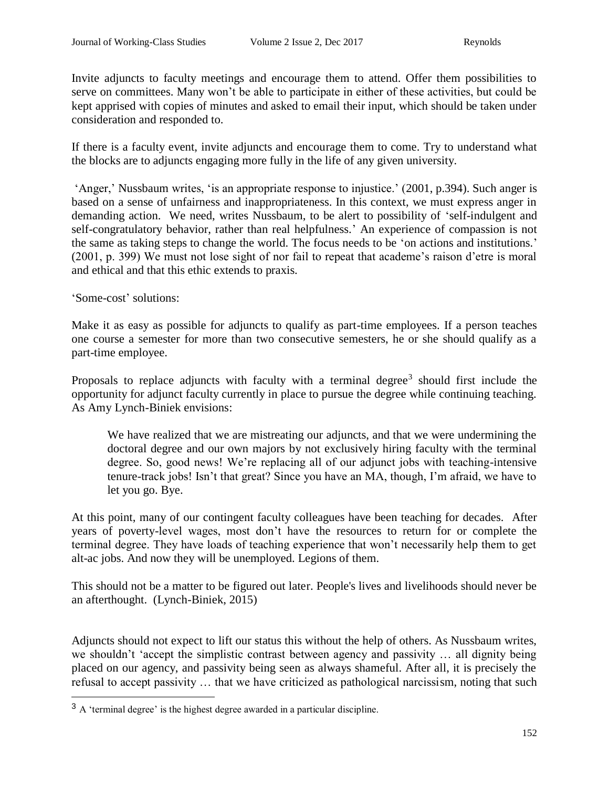Invite adjuncts to faculty meetings and encourage them to attend. Offer them possibilities to serve on committees. Many won't be able to participate in either of these activities, but could be kept apprised with copies of minutes and asked to email their input, which should be taken under consideration and responded to.

If there is a faculty event, invite adjuncts and encourage them to come. Try to understand what the blocks are to adjuncts engaging more fully in the life of any given university.

'Anger,' Nussbaum writes, 'is an appropriate response to injustice.' (2001, p.394). Such anger is based on a sense of unfairness and inappropriateness. In this context, we must express anger in demanding action. We need, writes Nussbaum, to be alert to possibility of 'self-indulgent and self-congratulatory behavior, rather than real helpfulness.' An experience of compassion is not the same as taking steps to change the world. The focus needs to be 'on actions and institutions.' (2001, p. 399) We must not lose sight of nor fail to repeat that academe's raison d'etre is moral and ethical and that this ethic extends to praxis.

'Some-cost' solutions:

Make it as easy as possible for adjuncts to qualify as part-time employees. If a person teaches one course a semester for more than two consecutive semesters, he or she should qualify as a part-time employee.

Proposals to replace adjuncts with faculty with a terminal degree<sup>3</sup> should first include the opportunity for adjunct faculty currently in place to pursue the degree while continuing teaching. As Amy Lynch-Biniek envisions:

We have realized that we are mistreating our adjuncts, and that we were undermining the doctoral degree and our own majors by not exclusively hiring faculty with the terminal degree. So, good news! We're replacing all of our adjunct jobs with teaching-intensive tenure-track jobs! Isn't that great? Since you have an MA, though, I'm afraid, we have to let you go. Bye.

At this point, many of our contingent faculty colleagues have been teaching for decades. After years of poverty-level wages, most don't have the resources to return for or complete the terminal degree. They have loads of teaching experience that won't necessarily help them to get alt-ac jobs. And now they will be unemployed. Legions of them.

This should not be a matter to be figured out later. People's lives and livelihoods should never be an afterthought. (Lynch-Biniek, 2015)

Adjuncts should not expect to lift our status this without the help of others. As Nussbaum writes, we shouldn't 'accept the simplistic contrast between agency and passivity … all dignity being placed on our agency, and passivity being seen as always shameful. After all, it is precisely the refusal to accept passivity … that we have criticized as pathological narcissism, noting that such

<sup>&</sup>lt;sup>3</sup> A 'terminal degree' is the highest degree awarded in a particular discipline.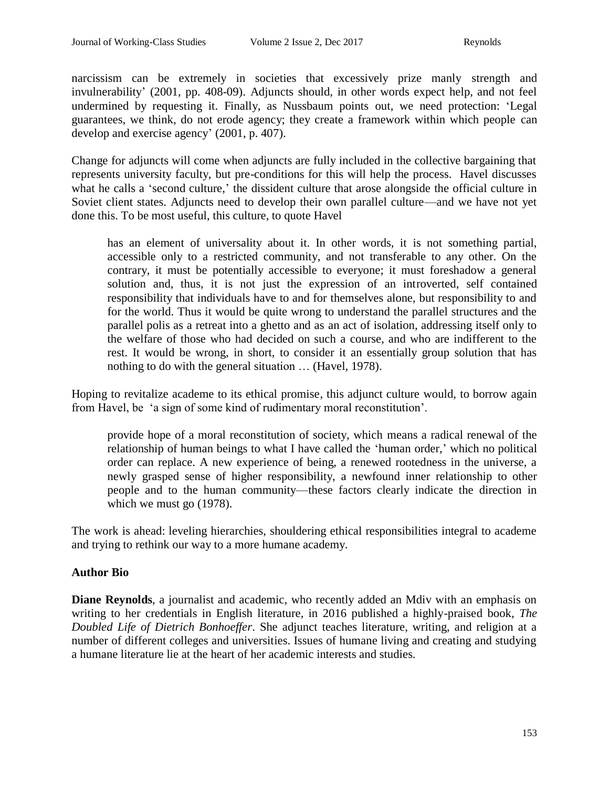narcissism can be extremely in societies that excessively prize manly strength and invulnerability' (2001, pp. 408-09). Adjuncts should, in other words expect help, and not feel undermined by requesting it. Finally, as Nussbaum points out, we need protection: 'Legal guarantees, we think, do not erode agency; they create a framework within which people can develop and exercise agency' (2001, p. 407).

Change for adjuncts will come when adjuncts are fully included in the collective bargaining that represents university faculty, but pre-conditions for this will help the process. Havel discusses what he calls a 'second culture,' the dissident culture that arose alongside the official culture in Soviet client states. Adjuncts need to develop their own parallel culture—and we have not yet done this. To be most useful, this culture, to quote Havel

has an element of universality about it. In other words, it is not something partial, accessible only to a restricted community, and not transferable to any other. On the contrary, it must be potentially accessible to everyone; it must foreshadow a general solution and, thus, it is not just the expression of an introverted, self contained responsibility that individuals have to and for themselves alone, but responsibility to and for the world. Thus it would be quite wrong to understand the parallel structures and the parallel polis as a retreat into a ghetto and as an act of isolation, addressing itself only to the welfare of those who had decided on such a course, and who are indifferent to the rest. It would be wrong, in short, to consider it an essentially group solution that has nothing to do with the general situation … (Havel, 1978).

Hoping to revitalize academe to its ethical promise, this adjunct culture would, to borrow again from Havel, be 'a sign of some kind of rudimentary moral reconstitution'.

provide hope of a moral reconstitution of society, which means a radical renewal of the relationship of human beings to what I have called the 'human order,' which no political order can replace. A new experience of being, a renewed rootedness in the universe, a newly grasped sense of higher responsibility, a newfound inner relationship to other people and to the human community—these factors clearly indicate the direction in which we must go (1978).

The work is ahead: leveling hierarchies, shouldering ethical responsibilities integral to academe and trying to rethink our way to a more humane academy.

## **Author Bio**

**Diane Reynolds**, a journalist and academic, who recently added an Mdiv with an emphasis on writing to her credentials in English literature, in 2016 published a highly-praised book, *The Doubled Life of Dietrich Bonhoeffer*. She adjunct teaches literature, writing, and religion at a number of different colleges and universities. Issues of humane living and creating and studying a humane literature lie at the heart of her academic interests and studies.